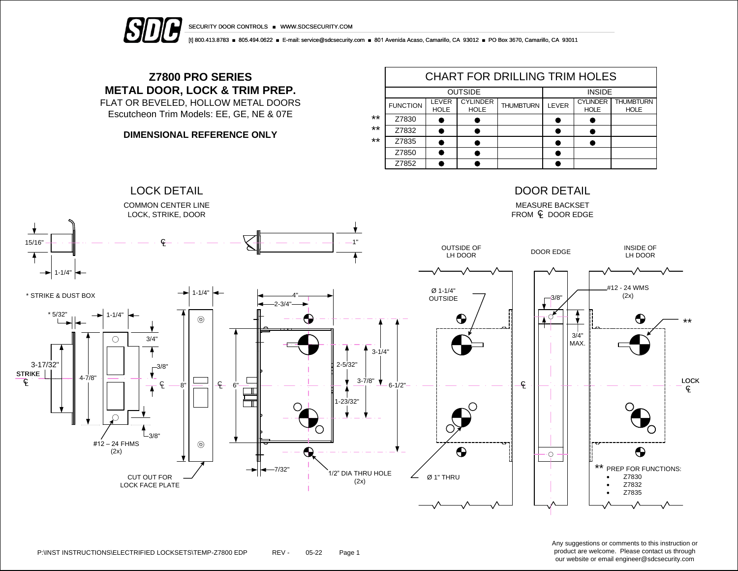

[t] 800.413.8783 ■ 805.494.0622 ■ E-mail: service@sdcsecurity.com ■ 801 Avenida Acaso, Camarillo, CA 93012 ■ PO Box 3670, Camarillo, CA 93011

## **Z7800 PRO SERIES METAL DOOR, LOCK & TRIM PREP.**

FLAT OR BEVELED, HOLLOW METAL DOORS Escutcheon Trim Models: EE, GE, NE & 07E

## **DIMENSIONAL REFERENCE ONLY**

|       | <b>CHART FOR DRILLING TRIM HOLES</b> |                      |                                |                  |       |                                |                                 |  |  |  |
|-------|--------------------------------------|----------------------|--------------------------------|------------------|-------|--------------------------------|---------------------------------|--|--|--|
|       |                                      | <b>OUTSIDE</b>       | <b>INSIDE</b>                  |                  |       |                                |                                 |  |  |  |
|       | <b>FUNCTION</b>                      | LEVER<br><b>HOLE</b> | <b>CYLINDER</b><br><b>HOLE</b> | <b>THUMBTURN</b> | LEVER | <b>CYLINDER</b><br><b>HOLE</b> | <b>THUMBTURN</b><br><b>HOLE</b> |  |  |  |
| $***$ | Z7830                                |                      |                                |                  |       |                                |                                 |  |  |  |
| $***$ | Z7832                                |                      |                                |                  |       |                                |                                 |  |  |  |
| $***$ | Z7835                                |                      |                                |                  |       |                                |                                 |  |  |  |
|       | Z7850                                |                      |                                |                  |       |                                |                                 |  |  |  |
|       | Z7852                                |                      |                                |                  |       |                                |                                 |  |  |  |



Any suggestions or comments to this instruction or product are welcome. Please contact us through our website or email engineer@sdcsecurity.com